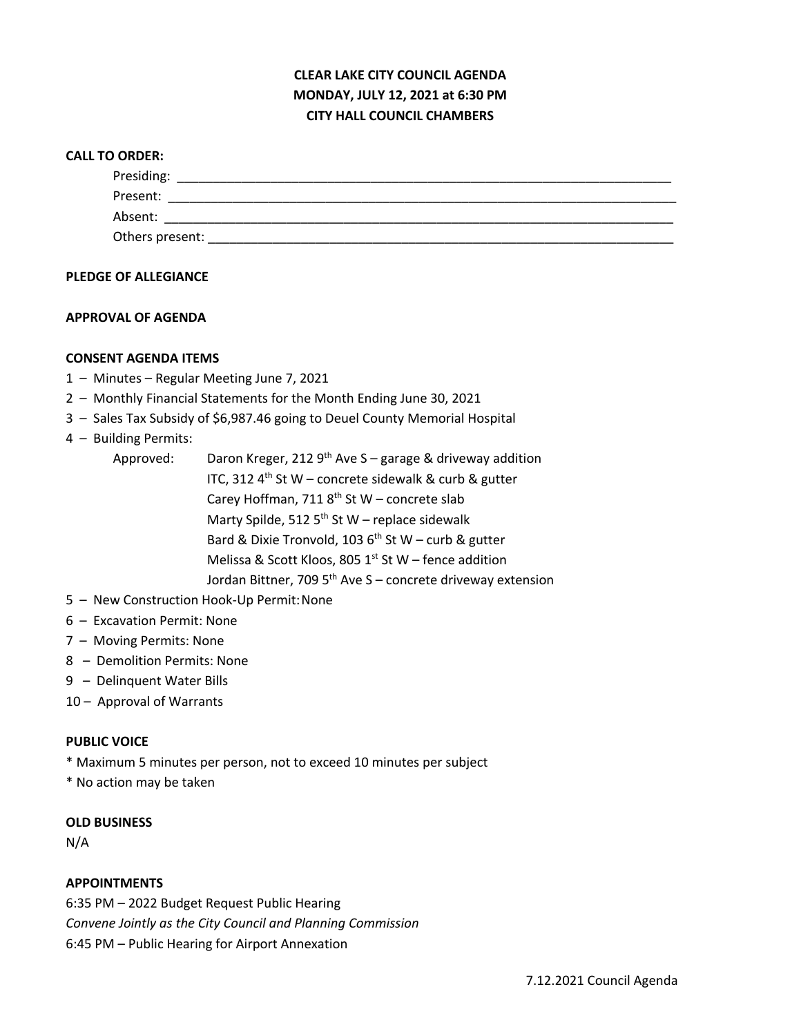# **CLEAR LAKE CITY COUNCIL AGENDA MONDAY, JULY 12, 2021 at 6:30 PM CITY HALL COUNCIL CHAMBERS**

#### **CALL TO ORDER:**

| Presiding:      |  |  |
|-----------------|--|--|
| Present:        |  |  |
| Absent:         |  |  |
| Others present: |  |  |

## **PLEDGE OF ALLEGIANCE**

#### **APPROVAL OF AGENDA**

#### **CONSENT AGENDA ITEMS**

- 1 Minutes Regular Meeting June 7, 2021
- 2 Monthly Financial Statements for the Month Ending June 30, 2021
- 3 Sales Tax Subsidy of \$6,987.46 going to Deuel County Memorial Hospital

## 4 – Building Permits:

- Approved: Daron Kreger, 212  $9<sup>th</sup>$  Ave S garage & driveway addition ITC, 312  $4^{th}$  St W – concrete sidewalk & curb & gutter Carey Hoffman, 711  $8<sup>th</sup>$  St W – concrete slab Marty Spilde, 512  $5<sup>th</sup>$  St W – replace sidewalk Bard & Dixie Tronvold, 103  $6<sup>th</sup>$  St W – curb & gutter Melissa & Scott Kloos, 805  $1<sup>st</sup>$  St W – fence addition Jordan Bittner, 709  $5<sup>th</sup>$  Ave S – concrete driveway extension
- 5 New Construction Hook-Up Permit:None
- 6 Excavation Permit: None
- 7 Moving Permits: None
- 8 Demolition Permits: None
- 9 Delinquent Water Bills
- 10 Approval of Warrants

## **PUBLIC VOICE**

- \* Maximum 5 minutes per person, not to exceed 10 minutes per subject
- \* No action may be taken

## **OLD BUSINESS**

N/A

## **APPOINTMENTS**

6:35 PM – 2022 Budget Request Public Hearing *Convene Jointly as the City Council and Planning Commission* 6:45 PM – Public Hearing for Airport Annexation